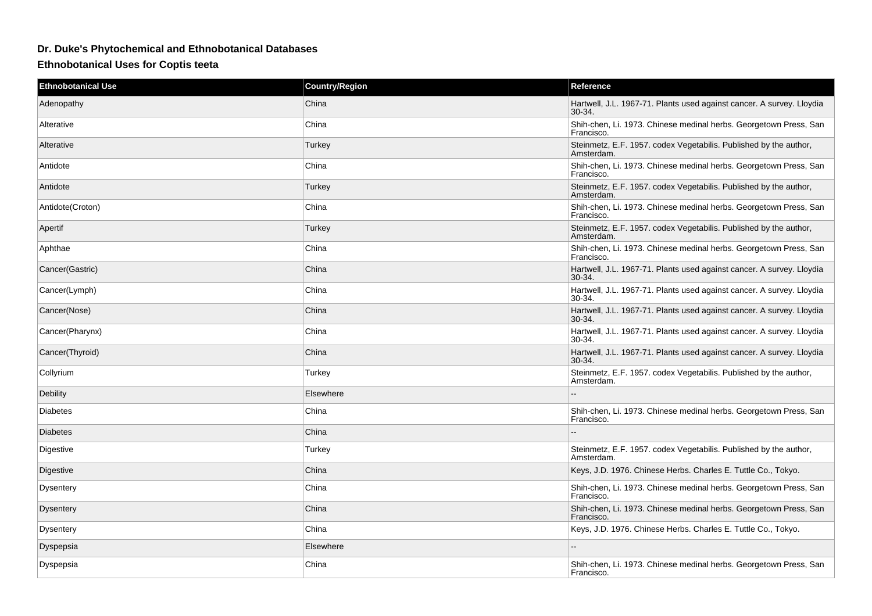## **Dr. Duke's Phytochemical and Ethnobotanical Databases**

**Ethnobotanical Uses for Coptis teeta**

| <b>Ethnobotanical Use</b> | <b>Country/Region</b> | Reference                                                                         |
|---------------------------|-----------------------|-----------------------------------------------------------------------------------|
| Adenopathy                | China                 | Hartwell, J.L. 1967-71. Plants used against cancer. A survey. Lloydia<br>$30-34.$ |
| Alterative                | China                 | Shih-chen, Li. 1973. Chinese medinal herbs. Georgetown Press, San<br>Francisco.   |
| Alterative                | Turkey                | Steinmetz, E.F. 1957. codex Vegetabilis. Published by the author,<br>Amsterdam.   |
| Antidote                  | China                 | Shih-chen, Li. 1973. Chinese medinal herbs. Georgetown Press, San<br>Francisco.   |
| Antidote                  | Turkey                | Steinmetz, E.F. 1957. codex Vegetabilis. Published by the author,<br>Amsterdam.   |
| Antidote(Croton)          | China                 | Shih-chen, Li. 1973. Chinese medinal herbs. Georgetown Press, San<br>Francisco.   |
| Apertif                   | Turkey                | Steinmetz, E.F. 1957. codex Vegetabilis. Published by the author,<br>Amsterdam.   |
| Aphthae                   | China                 | Shih-chen, Li. 1973. Chinese medinal herbs. Georgetown Press, San<br>Francisco.   |
| Cancer(Gastric)           | China                 | Hartwell, J.L. 1967-71. Plants used against cancer. A survey. Lloydia<br>30-34.   |
| Cancer(Lymph)             | China                 | Hartwell, J.L. 1967-71. Plants used against cancer. A survey. Lloydia<br>30-34.   |
| Cancer(Nose)              | China                 | Hartwell, J.L. 1967-71. Plants used against cancer. A survey. Lloydia<br>$30-34.$ |
| Cancer(Pharynx)           | China                 | Hartwell, J.L. 1967-71. Plants used against cancer. A survey. Lloydia<br>$30-34.$ |
| Cancer(Thyroid)           | China                 | Hartwell, J.L. 1967-71. Plants used against cancer. A survey. Lloydia<br>30-34.   |
| Collyrium                 | Turkey                | Steinmetz, E.F. 1957. codex Vegetabilis. Published by the author,<br>Amsterdam.   |
| Debility                  | Elsewhere             |                                                                                   |
| <b>Diabetes</b>           | China                 | Shih-chen, Li. 1973. Chinese medinal herbs. Georgetown Press, San<br>Francisco.   |
| <b>Diabetes</b>           | China                 |                                                                                   |
| Digestive                 | Turkey                | Steinmetz, E.F. 1957. codex Vegetabilis. Published by the author,<br>Amsterdam.   |
| Digestive                 | China                 | Keys, J.D. 1976. Chinese Herbs. Charles E. Tuttle Co., Tokyo.                     |
| Dysentery                 | China                 | Shih-chen, Li. 1973. Chinese medinal herbs. Georgetown Press, San<br>Francisco.   |
| <b>Dysentery</b>          | China                 | Shih-chen, Li. 1973. Chinese medinal herbs. Georgetown Press, San<br>Francisco.   |
| <b>Dysentery</b>          | China                 | Keys, J.D. 1976. Chinese Herbs. Charles E. Tuttle Co., Tokyo.                     |
| Dyspepsia                 | Elsewhere             |                                                                                   |
| Dyspepsia                 | China                 | Shih-chen, Li. 1973. Chinese medinal herbs. Georgetown Press, San<br>Francisco.   |